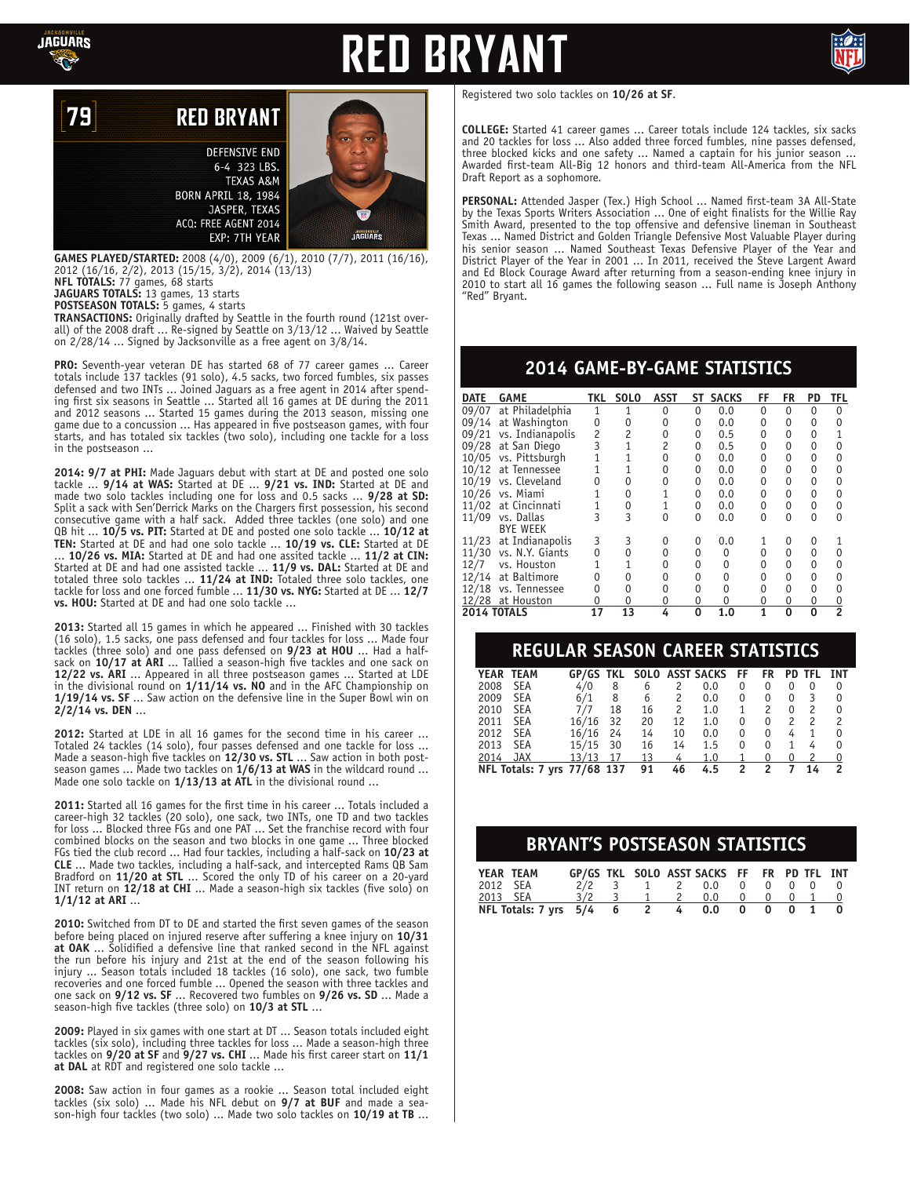

79

# **RED BRYAN**



### **RED BRYANT**

**DEFENSIVE END** 6-4 323 LBS. **TEXAS A&M BORN APRIL 18, 1984** JASPER, TEXAS ACQ: FREE AGENT 2014 EXP: 7TH YEAR

**GAMES PLAYED/STARTED:** 2008 (4/0), 2009 (6/1), 2010 (7/7), 2011 (16/16), 2012 (16/16, 2/2), 2013 (15/15, 3/2), 2014 (13/13)

**NFL TOTALS:** 77 games, 68 starts

**JAGUARS TOTALS:** 13 games, 13 starts **POSTSEASON TOTALS:** 5 games, 4 starts

**TRANSACTIONS:** Originally drafted by Seattle in the fourth round (121st overall) of the 2008 draft ... Re-signed by Seattle on 3/13/12 ... Waived by Seattle on 2/28/14 ... Signed by Jacksonville as a free agent on 3/8/14.

**PRO:** Seventh-year veteran DE has started 68 of 77 career games ... Career totals include 137 tackles (91 solo), 4.5 sacks, two forced fumbles, six passes defensed and two INTs ... Joined Jaguars as a free agent in 2014 after spending first six seasons in Seattle ... Started all 16 games at DE during the 2011 and 2012 seasons ... Started 15 games during the 2013 season, missing one game due to a concussion ... Has appeared in five postseason games, with four starts, and has totaled six tackles (two solo), including one tackle for a loss in the postseason ...

**2014: 9/7 at PHI:** Made Jaguars debut with start at DE and posted one solo tackle ... **9/14 at WAS:** Started at DE ... **9/21 vs. IND:** Started at DE and made two solo tackles including one for loss and 0.5 sacks ... **9/28 at SD:** Split a sack with Sen'Derrick Marks on the Chargers first possession, his second consecutive game with a half sack. Added three tackles (one solo) and one QB hit ... **10/5 vs. PIT:** Started at DE and posted one solo tackle ... **10/12 at TEN:** Started at DE and had one solo tackle ... **10/19 vs. CLE:** Started at DE ... **10/26 vs. MIA:** Started at DE and had one assited tackle ... **11/2 at CIN:**  Started at DE and had one assisted tackle ... **11/9 vs. DAL:** Started at DE and totaled three solo tackles ... **11/24 at IND:** Totaled three solo tackles, one tackle for loss and one forced fumble ... **11/30 vs. NYG:** Started at DE ... **12/7 vs. HOU:** Started at DE and had one solo tackle ...

**2013:** Started all 15 games in which he appeared ... Finished with 30 tackles (16 solo), 1.5 sacks, one pass defensed and four tackles for loss ... Made four tackles (three solo) and one pass defensed on **9/23 at HOU** ... Had a halfsack on **10/17 at ARI** ... Tallied a season-high five tackles and one sack on **12/22 vs. ARI** ... Appeared in all three postseason games ... Started at LDE in the divisional round on **1/11/14 vs. NO** and in the AFC Championship on **1/19/14 vs. SF** ... Saw action on the defensive line in the Super Bowl win on **2/2/14 vs. DEN** ...

**2012:** Started at LDE in all 16 games for the second time in his career ... Totaled 24 tackles (14 solo), four passes defensed and one tackle for loss ... Made a season-high five tackles on **12/30 vs. STL** ... Saw action in both postseason games ... Made two tackles on **1/6/13 at WAS** in the wildcard round ... Made one solo tackle on **1/13/13 at ATL** in the divisional round ...

**2011:** Started all 16 games for the first time in his career ... Totals included a career-high 32 tackles (20 solo), one sack, two INTs, one TD and two tackles for loss ... Blocked three FGs and one PAT ... Set the franchise record with four combined blocks on the season and two blocks in one game ... Three blocked FGs tied the club record ... Had four tackles, including a half-sack on **10/23 at CLE** ... Made two tackles, including a half-sack, and intercepted Rams QB Sam Bradford on **11/20 at STL** ... Scored the only TD of his career on a 20-yard INT return on **12/18 at CHI** ... Made a season-high six tackles (five solo) on **1/1/12 at ARI** ...

**2010:** Switched from DT to DE and started the first seven games of the season before being placed on injured reserve after suffering a knee injury on **10/31 at OAK** ... Solidified a defensive line that ranked second in the NFL against the run before his injury and 21st at the end of the season following his injury ... Season totals included 18 tackles (16 solo), one sack, two fumble recoveries and one forced fumble ... Opened the season with three tackles and one sack on **9/12 vs. SF** ... Recovered two fumbles on **9/26 vs. SD** ... Made a season-high five tackles (three solo) on **10/3 at STL** ...

**2009:** Played in six games with one start at DT ... Season totals included eight tackles (six solo), including three tackles for loss ... Made a season-high three tackles on **9/20 at SF** and **9/27 vs. CHI** ... Made his first career start on **11/1 at DAL** at RDT and registered one solo tackle ...

**2008:** Saw action in four games as a rookie ... Season total included eight tackles (six solo) ... Made his NFL debut on **9/7 at BUF** and made a season-high four tackles (two solo) ... Made two solo tackles on **10/19 at TB** ... Registered two solo tackles on **10/26 at SF**.

**COLLEGE:** Started 41 career games ... Career totals include 124 tackles, six sacks and 20 tackles for loss ... Also added three forced fumbles, nine passes defensed, three blocked kicks and one safety ... Named a captain for his junior season ... Awarded first-team All-Big 12 honors and third-team All-America from the NFL Draft Report as a sophomore.

**PERSONAL:** Attended Jasper (Tex.) High School ... Named first-team 3A All-State by the Texas Sports Writers Association ... One of eight finalists for the Willie Ray Smith Award, presented to the top offensive and defensive lineman in Southeast Texas ... Named District and Golden Triangle Defensive Most Valuable Player during his senior season ... Named Southeast Texas Defensive Player of the Year and District Player of the Year in 2001 ... In 2011, received the Steve Largent Award and Ed Block Courage Award after returning from a season-ending knee injury in 2010 to start all 16 games the following season ... Full name is Joseph Anthony "Red" Bryant.

### **2014 GAME-BY-GAME STATISTICS**

| <b>DATE</b>        | <b>GAME</b>      | TKL.           | <b>SOLO</b> | <b>ASST</b> | SΤ | <b>SACKS</b> | FF | FR | <b>PD</b> | TFL |
|--------------------|------------------|----------------|-------------|-------------|----|--------------|----|----|-----------|-----|
| 09/07              | at Philadelphia  |                |             |             | 0  | 0.0          | 0  | 0  | 0         | U   |
| 09/14              | at Washington    | 0              | 0           |             | 0  | 0.0          | 0  | 0  | 0         |     |
| 09/21              | vs. Indianapolis | $\overline{c}$ | 2           |             | 0  | 0.5          | 0  | 0  | 0         |     |
| 09/28              | at San Diego     | 3              |             |             | 0  | 0.5          | 0  |    | 0         |     |
| 10/05              | vs. Pittsburgh   |                |             |             | 0  | 0.0          | 0  | 0  | 0         |     |
| 10/12              | at Tennessee     |                |             |             | 0  | 0.0          | 0  | 0  | 0         |     |
| 10/19              | vs. Cleveland    |                |             |             | 0  | 0.0          | 0  | 0  | 0         |     |
| 10/26              | vs. Miami        |                |             |             | 0  | 0.0          | 0  | 0  | 0         |     |
| 11/02              | at Cincinnati    |                | 0           |             | 0  | 0.0          | 0  | 0  | 0         | O   |
| 11/09              | vs. Dallas       |                | 3           |             | 0  | 0.0          | 0  | U  | $\Omega$  |     |
|                    | <b>BYE WEEK</b>  |                |             |             |    |              |    |    |           |     |
| 11/23              | at Indianapolis  | 3              | 3           |             |    | 0.0          |    |    | 0         |     |
| 11/30              | vs. N.Y. Giants  | 0              |             |             |    | 0            | U  | 0  | 0         |     |
| 12/7               | vs. Houston      |                |             |             |    |              | 0  | 0  | 0         |     |
| 12/14              | at Baltimore     | 0              |             |             |    |              | N  | 0  | 0         |     |
| 12/18              | vs. Tennessee    | 0              |             |             |    |              |    | O  | 0         |     |
|                    | 12/28 at Houston |                | 0           |             | 0  |              | 0  | 0  | 0         |     |
| <b>2014 TOTALS</b> |                  | 17             | 13          |             | 0  | 1.0          | 1  | ŋ  | $\Omega$  |     |

#### **REGULAR SEASON CAREER STATISTICS**

|                                                                | YEAR TEAM  | <b>GP/GS TKL</b> |    |    |    | <b>SOLO ASST SACKS</b> | FF       | <b>FR</b> |   | <b>PD TFL</b> | INT                      |
|----------------------------------------------------------------|------------|------------------|----|----|----|------------------------|----------|-----------|---|---------------|--------------------------|
| 2008                                                           | <b>SEA</b> | 4/0              | 8  | 6  | 2  | 0.0                    | 0        | 0         |   | 0             | 0                        |
| 2009                                                           | <b>SEA</b> | 6/1              | 8  | 6  | 2  | 0.0                    | 0        | 0         | 0 | 3             | 0                        |
| 2010                                                           | <b>SEA</b> | 7/7              | 18 | 16 | 2  | 1.0                    | 1        | 2         | 0 | 2             | $\Omega$                 |
| 2011                                                           | <b>SEA</b> | 16/16            | 32 | 20 | 12 | 1.0                    | $\Omega$ | 0         | 2 | $\mathcal{P}$ | $\overline{\phantom{0}}$ |
| 2012                                                           | <b>SEA</b> | 16/16            | 24 | 14 | 10 | 0.0                    | 0        | 0         | 4 |               | 0                        |
| 2013                                                           | SEA        | 15/15            | 30 | 16 | 14 | 1.5                    | 0        | $\Omega$  |   | 4             | 0                        |
| 2014                                                           | JAX        | 13/13            | 17 | 13 | 4  | 1.0                    |          | 0         |   |               | $\overline{0}$           |
| NFL Totals: 7 yrs 77/68 137<br>91<br>46<br>4.5<br>2<br>2<br>14 |            |                  |    |    |    |                        |          |           |   |               |                          |
|                                                                |            |                  |    |    |    |                        |          |           |   |               |                          |

#### **BRYANT'S POSTSEASON STATISTICS**

| YEAR TEAM                             |          |     |  | GP/GS TKL SOLO ASST SACKS FF FR PD TFL INT |  |  |  |
|---------------------------------------|----------|-----|--|--------------------------------------------|--|--|--|
| 2012 SEA                              |          |     |  | $2/2$ 3 1 2 0.0 0 0 0 0 0                  |  |  |  |
|                                       | 2013 SEA | 3/2 |  | 1 2 0.0 0 0 0 1 0                          |  |  |  |
| NFL Totals: $7 \text{ vrs}$ $5/4$ 6 2 |          |     |  | 4 0.0 0 0 0 1                              |  |  |  |